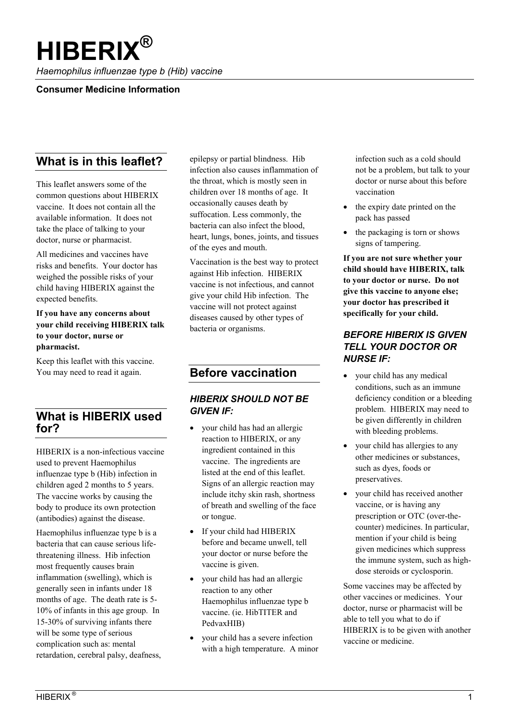# **HIBERIX®**

*Haemophilus influenzae type b (Hib) vaccine*

#### **Consumer Medicine Information**

# **What is in this leaflet?**

This leaflet answers some of the common questions about HIBERIX vaccine. It does not contain all the available information. It does not take the place of talking to your doctor, nurse or pharmacist.

All medicines and vaccines have risks and benefits. Your doctor has weighed the possible risks of your child having HIBERIX against the expected benefits.

#### **If you have any concerns about your child receiving HIBERIX talk to your doctor, nurse or pharmacist.**

Keep this leaflet with this vaccine. You may need to read it again.

# **What is HIBERIX used for?**

HIBERIX is a non-infectious vaccine used to prevent Haemophilus influenzae type b (Hib) infection in children aged 2 months to 5 years. The vaccine works by causing the body to produce its own protection (antibodies) against the disease.

Haemophilus influenzae type b is a bacteria that can cause serious lifethreatening illness. Hib infection most frequently causes brain inflammation (swelling), which is generally seen in infants under 18 months of age. The death rate is 5- 10% of infants in this age group. In 15-30% of surviving infants there will be some type of serious complication such as: mental retardation, cerebral palsy, deafness, epilepsy or partial blindness. Hib infection also causes inflammation of the throat, which is mostly seen in children over 18 months of age. It occasionally causes death by suffocation. Less commonly, the bacteria can also infect the blood, heart, lungs, bones, joints, and tissues of the eyes and mouth.

Vaccination is the best way to protect against Hib infection. HIBERIX vaccine is not infectious, and cannot give your child Hib infection. The vaccine will not protect against diseases caused by other types of bacteria or organisms.

# **Before vaccination**

### *HIBERIX SHOULD NOT BE GIVEN IF:*

- your child has had an allergic reaction to HIBERIX, or any ingredient contained in this vaccine. The ingredients are listed at the end of this leaflet. Signs of an allergic reaction may include itchy skin rash, shortness of breath and swelling of the face or tongue.
- If your child had HIBERIX before and became unwell, tell your doctor or nurse before the vaccine is given.
- your child has had an allergic reaction to any other Haemophilus influenzae type b vaccine. (ie. HibTITER and PedvaxHIB)
- your child has a severe infection with a high temperature. A minor

infection such as a cold should not be a problem, but talk to your doctor or nurse about this before vaccination

- the expiry date printed on the pack has passed
- the packaging is torn or shows signs of tampering.

**If you are not sure whether your child should have HIBERIX, talk to your doctor or nurse. Do not give this vaccine to anyone else; your doctor has prescribed it specifically for your child.**

### *BEFORE HIBERIX IS GIVEN TELL YOUR DOCTOR OR NURSE IF:*

- your child has any medical conditions, such as an immune deficiency condition or a bleeding problem. HIBERIX may need to be given differently in children with bleeding problems.
- your child has allergies to any other medicines or substances, such as dyes, foods or preservatives.
- your child has received another vaccine, or is having any prescription or OTC (over-thecounter) medicines. In particular, mention if your child is being given medicines which suppress the immune system, such as highdose steroids or cyclosporin.

Some vaccines may be affected by other vaccines or medicines. Your doctor, nurse or pharmacist will be able to tell you what to do if HIBERIX is to be given with another vaccine or medicine.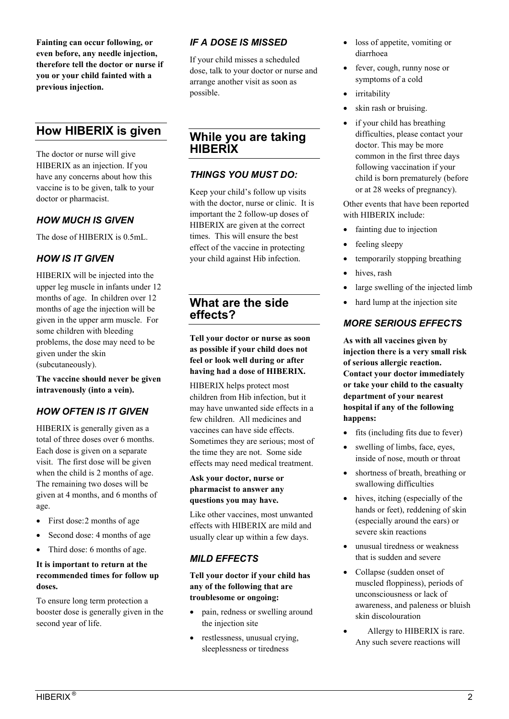**Fainting can occur following, or even before, any needle injection, therefore tell the doctor or nurse if you or your child fainted with a previous injection.** 

# **How HIBERIX is given**

The doctor or nurse will give HIBERIX as an injection. If you have any concerns about how this vaccine is to be given, talk to your doctor or pharmacist.

# *HOW MUCH IS GIVEN*

The dose of HIBERIX is 0.5mL.

# *HOW IS IT GIVEN*

HIBERIX will be injected into the upper leg muscle in infants under 12 months of age. In children over 12 months of age the injection will be given in the upper arm muscle. For some children with bleeding problems, the dose may need to be given under the skin (subcutaneously).

**The vaccine should never be given intravenously (into a vein).**

# *HOW OFTEN IS IT GIVEN*

HIBERIX is generally given as a total of three doses over 6 months. Each dose is given on a separate visit. The first dose will be given when the child is 2 months of age. The remaining two doses will be given at 4 months, and 6 months of age.

- First dose: 2 months of age
- Second dose: 4 months of age
- Third dose: 6 months of age.

#### **It is important to return at the recommended times for follow up doses.**

To ensure long term protection a booster dose is generally given in the second year of life.

## *IF A DOSE IS MISSED*

If your child misses a scheduled dose, talk to your doctor or nurse and arrange another visit as soon as possible.

# **While you are taking HIBERIX**

### *THINGS YOU MUST DO:*

Keep your child's follow up visits with the doctor, nurse or clinic. It is important the 2 follow-up doses of HIBERIX are given at the correct times. This will ensure the best effect of the vaccine in protecting your child against Hib infection.

**What are the side effects?**

**Tell your doctor or nurse as soon as possible if your child does not feel or look well during or after having had a dose of HIBERIX.** 

HIBERIX helps protect most children from Hib infection, but it may have unwanted side effects in a few children. All medicines and vaccines can have side effects. Sometimes they are serious; most of the time they are not. Some side effects may need medical treatment.

#### **Ask your doctor, nurse or pharmacist to answer any questions you may have.**

Like other vaccines, most unwanted effects with HIBERIX are mild and usually clear up within a few days.

# *MILD EFFECTS*

**Tell your doctor if your child has any of the following that are troublesome or ongoing:**

- pain, redness or swelling around the injection site
- restlessness, unusual crying, sleeplessness or tiredness
- loss of appetite, vomiting or diarrhoea
- fever, cough, runny nose or symptoms of a cold
- irritability
- skin rash or bruising.
- if your child has breathing difficulties, please contact your doctor. This may be more common in the first three days following vaccination if your child is born prematurely (before or at 28 weeks of pregnancy).

Other events that have been reported with HIBERIX include:

- fainting due to injection
- feeling sleepy
- temporarily stopping breathing
- hives, rash
- large swelling of the injected limb
- hard lump at the injection site

### *MORE SERIOUS EFFECTS*

**As with all vaccines given by injection there is a very small risk of serious allergic reaction. Contact your doctor immediately or take your child to the casualty department of your nearest hospital if any of the following happens:**

- $\bullet$  fits (including fits due to fever)
- swelling of limbs, face, eyes, inside of nose, mouth or throat
- shortness of breath, breathing or swallowing difficulties
- hives, itching (especially of the hands or feet), reddening of skin (especially around the ears) or severe skin reactions
- unusual tiredness or weakness that is sudden and severe
- Collapse (sudden onset of muscled floppiness), periods of unconsciousness or lack of awareness, and paleness or bluish skin discolouration
- Allergy to HIBERIX is rare. Any such severe reactions will